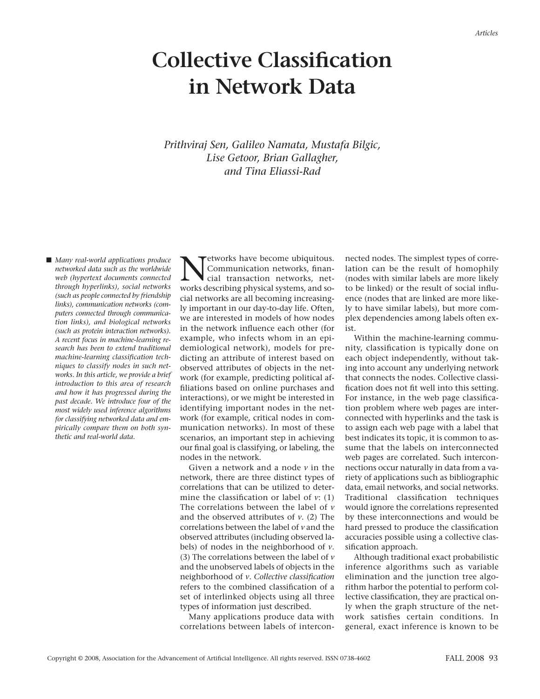# **Collective Classification in Network Data**

*Prithviraj Sen, Galileo Namata, Mustafa Bilgic, Lise Getoor, Brian Gallagher, and Tina Eliassi-Rad* 

■ *Many real-world applications produce networked data such as the worldwide web (hypertext documents connected through hyperlinks), social networks (such as people connected by friendship links), communication networks (computers connected through communication links), and biological networks (such as protein interaction networks). A recent focus in machine-learning research has been to extend traditional machine-learning classification techniques to classify nodes in such networks. In this article, we provide a brief introduction to this area of research and how it has progressed during the past decade. We introduce four of the most widely used inference algorithms for classifying networked data and empirically compare them on both synthetic and real-world data.* 

Networks have become ubiquitous.<br>Communication networks, financial transaction networks, networks<br>works describing physical systems, and so-Communication networks, financial transaction networks, networks describing physical systems, and social networks are all becoming increasingly important in our day-to-day life. Often, we are interested in models of how nodes in the network influence each other (for example, who infects whom in an epidemiological network), models for predicting an attribute of interest based on observed attributes of objects in the network (for example, predicting political affiliations based on online purchases and interactions), or we might be interested in identifying important nodes in the network (for example, critical nodes in communication networks). In most of these scenarios, an important step in achieving our final goal is classifying, or labeling, the nodes in the network.

Given a network and a node *v* in the network, there are three distinct types of correlations that can be utilized to determine the classification or label of *v*: (1) The correlations between the label of *v* and the observed attributes of *v*. (2) The correlations between the label of *v* and the observed attributes (including observed labels) of nodes in the neighborhood of *v*. (3) The correlations between the label of *v* and the unobserved labels of objects in the neighborhood of *v*. *Collective classification* refers to the combined classification of a set of interlinked objects using all three types of information just described.

Many applications produce data with correlations between labels of intercon-

nected nodes. The simplest types of correlation can be the result of homophily (nodes with similar labels are more likely to be linked) or the result of social influence (nodes that are linked are more likely to have similar labels), but more complex dependencies among labels often exist.

Within the machine-learning community, classification is typically done on each object independently, without taking into account any underlying network that connects the nodes. Collective classification does not fit well into this setting. For instance, in the web page classification problem where web pages are interconnected with hyperlinks and the task is to assign each web page with a label that best indicates its topic, it is common to assume that the labels on interconnected web pages are correlated. Such interconnections occur naturally in data from a variety of applications such as bibliographic data, email networks, and social networks. Traditional classification techniques would ignore the correlations represented by these interconnections and would be hard pressed to produce the classification accuracies possible using a collective classification approach.

Although traditional exact probabilistic inference algorithms such as variable elimination and the junction tree algorithm harbor the potential to perform collective classification, they are practical only when the graph structure of the network satisfies certain conditions. In general, exact inference is known to be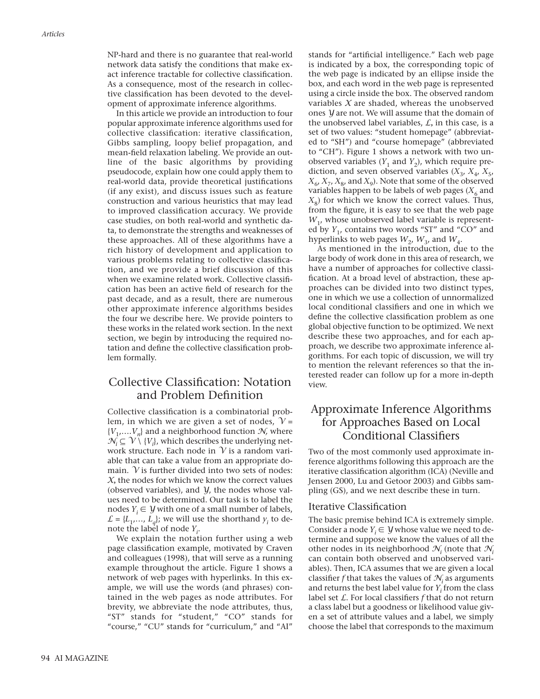NP-hard and there is no guarantee that real-world network data satisfy the conditions that make exact inference tractable for collective classification. As a consequence, most of the research in collective classification has been devoted to the development of approximate inference algorithms.

In this article we provide an introduction to four popular approximate inference algorithms used for collective classification: iterative classification, Gibbs sampling, loopy belief propagation, and mean-field relaxation labeling. We provide an outline of the basic algorithms by providing pseudocode, explain how one could apply them to real-world data, provide theoretical justifications (if any exist), and discuss issues such as feature construction and various heuristics that may lead to improved classification accuracy. We provide case studies, on both real-world and synthetic data, to demonstrate the strengths and weaknesses of these approaches. All of these algorithms have a rich history of development and application to various problems relating to collective classification, and we provide a brief discussion of this when we examine related work. Collective classification has been an active field of research for the past decade, and as a result, there are numerous other approximate inference algorithms besides the four we describe here. We provide pointers to these works in the related work section. In the next section, we begin by introducing the required notation and define the collective classification problem formally.

## Collective Classification: Notation and Problem Definition

Collective classification is a combinatorial problem, in which we are given a set of nodes,  $V =$  ${V_1, \ldots, V_n}$  and a neighborhood function  $N$ *,* where  $\mathcal{N}_i \subseteq \mathcal{V} \setminus \{V_i\}$ , which describes the underlying network structure. Each node in *V* is a random variable that can take a value from an appropriate domain.  $\gamma$  is further divided into two sets of nodes: *X,* the nodes for which we know the correct values (observed variables), and *Y*, the nodes whose values need to be determined. Our task is to label the nodes  $Y_i \in \mathcal{Y}$  with one of a small number of labels,  $\mathcal{L} = \{L_1, \ldots, L_d\}$ ; we will use the shorthand  $y_i$  to denote the label of node *Yi* .

We explain the notation further using a web page classification example, motivated by Craven and colleagues (1998), that will serve as a running example throughout the article. Figure 1 shows a network of web pages with hyperlinks. In this example, we will use the words (and phrases) contained in the web pages as node attributes. For brevity, we abbreviate the node attributes, thus, "ST" stands for "student," "CO" stands for "course," "CU" stands for "curriculum," and "AI"

stands for "artificial intelligence." Each web page is indicated by a box, the corresponding topic of the web page is indicated by an ellipse inside the box, and each word in the web page is represented using a circle inside the box. The observed random variables *X* are shaded, whereas the unobserved ones *Y* are not. We will assume that the domain of the unobserved label variables, *L,* in this case, is a set of two values: "student homepage" (abbreviated to "SH") and "course homepage" (abbreviated to "CH"). Figure 1 shows a network with two unobserved variables  $(Y_1$  and  $Y_2)$ , which require prediction, and seven observed variables  $(X_3, X_4, X_5,$  $X_6$ ,  $X_7$ ,  $X_8$ , and  $X_9$ ). Note that some of the observed variables happen to be labels of web pages  $(X_{6}$  and  $X<sub>8</sub>$ ) for which we know the correct values. Thus, from the figure, it is easy to see that the web page  $W_1$ , whose unobserved label variable is represented by *Y*<sub>1</sub>, contains two words "ST" and "CO" and hyperlinks to web pages  $W_2$ ,  $W_3$ , and  $W_4$ .

As mentioned in the introduction, due to the large body of work done in this area of research, we have a number of approaches for collective classification. At a broad level of abstraction, these approaches can be divided into two distinct types, one in which we use a collection of unnormalized local conditional classifiers and one in which we define the collective classification problem as one global objective function to be optimized. We next describe these two approaches, and for each approach, we describe two approximate inference algorithms. For each topic of discussion, we will try to mention the relevant references so that the interested reader can follow up for a more in-depth view.

## Approximate Inference Algorithms for Approaches Based on Local Conditional Classifiers

Two of the most commonly used approximate inference algorithms following this approach are the iterative classification algorithm (ICA) (Neville and Jensen 2000, Lu and Getoor 2003) and Gibbs sampling (GS), and we next describe these in turn.

#### Iterative Classification

The basic premise behind ICA is extremely simple. Consider a node  $Y_i \in \mathcal{Y}$  whose value we need to determine and suppose we know the values of all the other nodes in its neighborhood  $\mathcal{N}_i$  (note that  $\mathcal{N}_i$ ) can contain both observed and unobserved variables). Then, ICA assumes that we are given a local classifier *f* that takes the values of  $N_i$  as arguments and returns the best label value for *Yi* from the class label set *L*. For local classifiers *f* that do not return a class label but a goodness or likelihood value given a set of attribute values and a label, we simply choose the label that corresponds to the maximum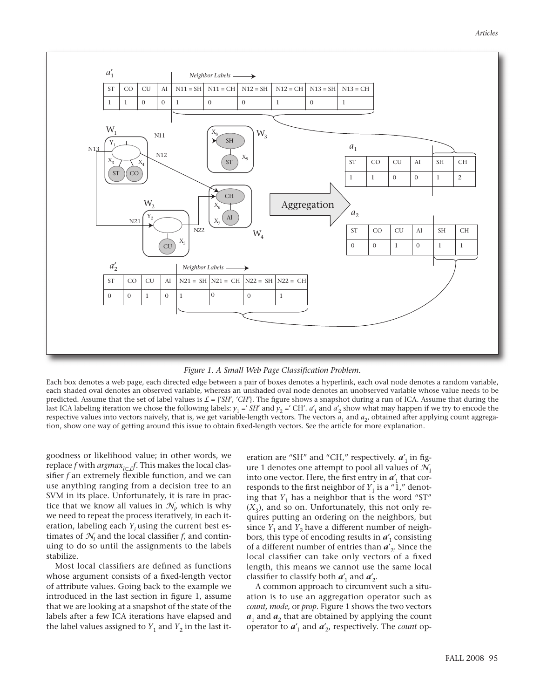

*Figure 1. A Small Web Page Classification Problem.* 

Each box denotes a web page, each directed edge between a pair of boxes denotes a hyperlink, each oval node denotes a random variable, each shaded oval denotes an observed variable, whereas an unshaded oval node denotes an unobserved variable whose value needs to be predicted. Assume that the set of label values is  $\mathcal{L} = \{S H', \, 'CH' \}$ . The figure shows a snapshot during a run of ICA. Assume that during the last ICA labeling iteration we chose the following labels:  $y_1 = 'SH'$  and  $y_2 = 'CH'.$  *a*'<sub>1</sub> and *a*'<sub>2</sub> show what may happen if we try to encode the respective values into vectors naively, that is, we get variable-length vectors. The vectors  $a_1$  and  $a_2$ , obtained after applying count aggregation, show one way of getting around this issue to obtain fixed-length vectors. See the article for more explanation.

goodness or likelihood value; in other words, we replace *f* with *argmax*<sub>l $\in$ f. This makes the local clas-</sub> sifier *f* an extremely flexible function, and we can use anything ranging from a decision tree to an SVM in its place. Unfortunately, it is rare in practice that we know all values in  $\mathcal{N}_{i'}$  which is why we need to repeat the process iteratively, in each iteration, labeling each  $Y_i$  using the current best estimates of  $N_i$  and the local classifier  $f$ , and continuing to do so until the assignments to the labels stabilize.

Most local classifiers are defined as functions whose argument consists of a fixed-length vector of attribute values. Going back to the example we introduced in the last section in figure 1, assume that we are looking at a snapshot of the state of the labels after a few ICA iterations have elapsed and the label values assigned to  $Y_1$  and  $Y_2$  in the last it-

eration are "SH" and "CH," respectively.  $a'_1$  in figure 1 denotes one attempt to pool all values of  $\mathcal{N}_1$ into one vector. Here, the first entry in  $a'_1$  that corresponds to the first neighbor of  $Y_1$  is a "1," denoting that  $Y_1$  has a neighbor that is the word "ST"  $(X_3)$ , and so on. Unfortunately, this not only requires putting an ordering on the neighbors, but since  $Y_1$  and  $Y_2$  have a different number of neighbors, this type of encoding results in *a*′ <sup>1</sup> consisting of a different number of entries than  $\vec{a}_2$ . Since the local classifier can take only vectors of a fixed length, this means we cannot use the same local classifier to classify both  $a'_1$  and  $a'_2$ .

A common approach to circumvent such a situation is to use an aggregation operator such as *count, mode,* or *prop.* Figure 1 shows the two vectors  $a_1$  and  $a_2$  that are obtained by applying the count operator to  $a'_1$  and  $a'_2$ , respectively. The *count* op-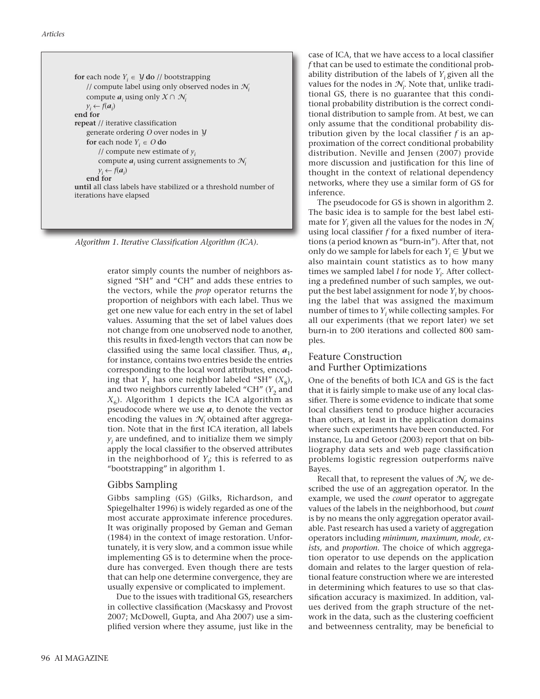for each node  $Y_i \in \mathcal{Y}$  do // bootstrapping // compute label using only observed nodes in *N<sup>i</sup>* compute  $a_i$  using only  $X \cap N_i$  $y_i \leftarrow f(a_i)$ **end for repeat** // iterative classification generate ordering *O* over nodes in *Y*  $f$  *o* **r** each node  $Y_i \in O$  **do** // compute new estimate of  $y_i$ compute  $a_i$  using current assignements to  $N_i$  $y_i \leftarrow f(a_i)$ **end for until** all class labels have stabilized or a threshold number of iterations have elapsed

*Algorithm 1. Iterative Classification Algorithm (ICA).* 

erator simply counts the number of neighbors assigned "SH" and "CH" and adds these entries to the vectors, while the *prop* operator returns the proportion of neighbors with each label. Thus we get one new value for each entry in the set of label values. Assuming that the set of label values does not change from one unobserved node to another, this results in fixed-length vectors that can now be classified using the same local classifier. Thus,  $a_{1}$ , for instance, contains two entries beside the entries corresponding to the local word attributes, encoding that  $Y_1$  has one neighbor labeled "SH"  $(X_8)$ , and two neighbors currently labeled "CH"  $(Y_2)$  and  $X_6$ ). Algorithm 1 depicts the ICA algorithm as pseudocode where we use  $a_i$  to denote the vector encoding the values in  $N_i$  obtained after aggregation. Note that in the first ICA iteration, all labels  $y_i$  are undefined, and to initialize them we simply apply the local classifier to the observed attributes in the neighborhood of  $Y_{\vec{i}}$ ; this is referred to as "bootstrapping" in algorithm 1.

#### Gibbs Sampling

Gibbs sampling (GS) (Gilks, Richardson, and Spiegelhalter 1996) is widely regarded as one of the most accurate approximate inference procedures. It was originally proposed by Geman and Geman (1984) in the context of image restoration. Unfortunately, it is very slow, and a common issue while implementing GS is to determine when the procedure has converged. Even though there are tests that can help one determine convergence, they are usually expensive or complicated to implement.

Due to the issues with traditional GS, researchers in collective classification (Macskassy and Provost 2007; McDowell, Gupta, and Aha 2007) use a simplified version where they assume, just like in the

case of ICA, that we have access to a local classifier *f* that can be used to estimate the conditional probability distribution of the labels of *Yi* given all the values for the nodes in  $\mathcal{N}_i$ . Note that, unlike traditional GS, there is no guarantee that this conditional probability distribution is the correct conditional distribution to sample from. At best, we can only assume that the conditional probability distribution given by the local classifier *f* is an approximation of the correct conditional probability distribution. Neville and Jensen (2007) provide more discussion and justification for this line of thought in the context of relational dependency networks, where they use a similar form of GS for inference.

The pseudocode for GS is shown in algorithm 2. The basic idea is to sample for the best label estimate for  $Y_i$  given all the values for the nodes in  $\mathcal{N}_i$ using local classifier *f* for a fixed number of iterations (a period known as "burn-in"). After that, not only do we sample for labels for each  $Y_i \in V$  but we also maintain count statistics as to how many times we sampled label *l* for node *Yi* . After collecting a predefined number of such samples, we output the best label assignment for node *Yi* by choosing the label that was assigned the maximum number of times to *Yi* while collecting samples. For all our experiments (that we report later) we set burn-in to 200 iterations and collected 800 samples.

#### Feature Construction and Further Optimizations

One of the benefits of both ICA and GS is the fact that it is fairly simple to make use of any local classifier. There is some evidence to indicate that some local classifiers tend to produce higher accuracies than others, at least in the application domains where such experiments have been conducted. For instance, Lu and Getoor (2003) report that on bibliography data sets and web page classification problems logistic regression outperforms naïve Bayes.

Recall that, to represent the values of  $\mathcal{N}_{i'}$  we described the use of an aggregation operator. In the example, we used the *count* operator to aggregate values of the labels in the neighborhood, but *count* is by no means the only aggregation operator available. Past research has used a variety of aggregation operators including *minimum, maximum, mode, exists,* and *proportion.* The choice of which aggregation operator to use depends on the application domain and relates to the larger question of relational feature construction where we are interested in determining which features to use so that classification accuracy is maximized. In addition, values derived from the graph structure of the network in the data, such as the clustering coefficient and betweenness centrality, may be beneficial to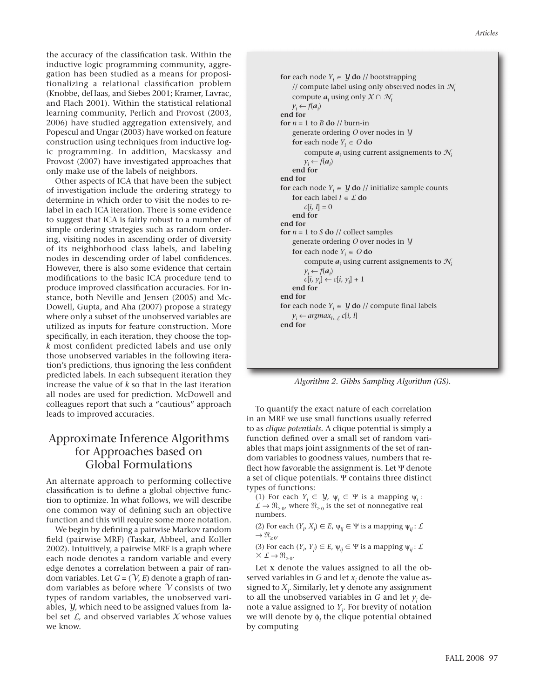*Articles*

the accuracy of the classification task. Within the inductive logic programming community, aggregation has been studied as a means for propositionalizing a relational classification problem (Knobbe, deHaas, and Siebes 2001; Kramer, Lavrac, and Flach 2001). Within the statistical relational learning community, Perlich and Provost (2003, 2006) have studied aggregation extensively, and Popescul and Ungar (2003) have worked on feature construction using techniques from inductive logic programming. In addition, Macskassy and Provost (2007) have investigated approaches that only make use of the labels of neighbors.

Other aspects of ICA that have been the subject of investigation include the ordering strategy to determine in which order to visit the nodes to relabel in each ICA iteration. There is some evidence to suggest that ICA is fairly robust to a number of simple ordering strategies such as random ordering, visiting nodes in ascending order of diversity of its neighborhood class labels, and labeling nodes in descending order of label confidences. However, there is also some evidence that certain modifications to the basic ICA procedure tend to produce improved classification accuracies. For instance, both Neville and Jensen (2005) and Mc-Dowell, Gupta, and Aha (2007) propose a strategy where only a subset of the unobserved variables are utilized as inputs for feature construction. More specifically, in each iteration, they choose the top*k* most confident predicted labels and use only those unobserved variables in the following iteration's predictions, thus ignoring the less confident predicted labels. In each subsequent iteration they increase the value of *k* so that in the last iteration all nodes are used for prediction. McDowell and colleagues report that such a "cautious" approach leads to improved accuracies.

## Approximate Inference Algorithms for Approaches based on Global Formulations

An alternate approach to performing collective classification is to define a global objective function to optimize. In what follows, we will describe one common way of defining such an objective function and this will require some more notation.

We begin by defining a pairwise Markov random field (pairwise MRF) (Taskar, Abbeel, and Koller 2002). Intuitively, a pairwise MRF is a graph where each node denotes a random variable and every edge denotes a correlation between a pair of random variables. Let  $G = (\gamma, E)$  denote a graph of random variables as before where *V* consists of two types of random variables, the unobserved variables, *Y,* which need to be assigned values from label set  $\mathcal{L}$ , and observed variables  $\mathcal X$  whose values we know.

```
for each node Y_i \in \mathcal{Y} do // bootstrapping
    // compute label using only observed nodes in Ni
    compute a_i using only X \cap N_iy_i \leftarrow f(a_i)end for
for n = 1 to B do // burn-in
    generate ordering O over nodes in Y
     f o r each node Y_i \in O do
         compute a_i using current assignements to N_iy_i \leftarrow f(a_i)end for
end for
for each node Y_i \in Y do // initialize sample counts
     \mathbf{for} each label l \in \mathcal{L} do
         c[i, l] = 0end for
end for
for n = 1 to S do // collect samples
    generate ordering O over nodes in Y
     for each node Y_i \in O do
         compute a_i using current assignements to \mathcal{N}_iy_i \leftarrow f(a_i)c[i, y_i] \leftarrow c[i, y_i] + 1end for
end for
{\bf f} or each node Y_i \in {\bf y} do // compute final labels
     y_i \leftarrow \text{argmax}_{l \in \mathcal{L}} c[i, l]end for
```
*Algorithm 2. Gibbs Sampling Algorithm (GS).* 

To quantify the exact nature of each correlation in an MRF we use small functions usually referred to as *clique potentials.* A clique potential is simply a function defined over a small set of random variables that maps joint assignments of the set of random variables to goodness values, numbers that reflect how favorable the assignment is. Let Ψ denote a set of clique potentials. Ψ contains three distinct types of functions:

- (1) For each  $Y_i \in \mathcal{Y}, \psi_i \in \Psi$  is a mapping  $\psi_i$ :  $\mathcal{L} \to \mathfrak{R}_{\geq 0}$ , where  $\mathfrak{R}_{\geq 0}$  is the set of nonnegative real numbers.
- (2) For each  $(Y_i, X_j) \in E$ ,  $\psi_{ij} \in \Psi$  is a mapping  $\psi_{ij} \colon L$  $\rightarrow \Re_{\geq 0}$ .
- (3) For each  $(Y_i, Y_j) \in E$ ,  $\psi_{ij} \in \Psi$  is a mapping  $\psi_{ij} : L$  $\times$  *L*  $\rightarrow$   $\Re_{\geq 0}$ .

Let **x** denote the values assigned to all the observed variables in  $G$  and let  $x_i$  denote the value assigned to *Xi* . Similarly, let **y** denote any assignment to all the unobserved variables in  $G$  and let  $y_i$  denote a value assigned to *Yi* . For brevity of notation we will denote by φ*<sup>i</sup>* the clique potential obtained by computing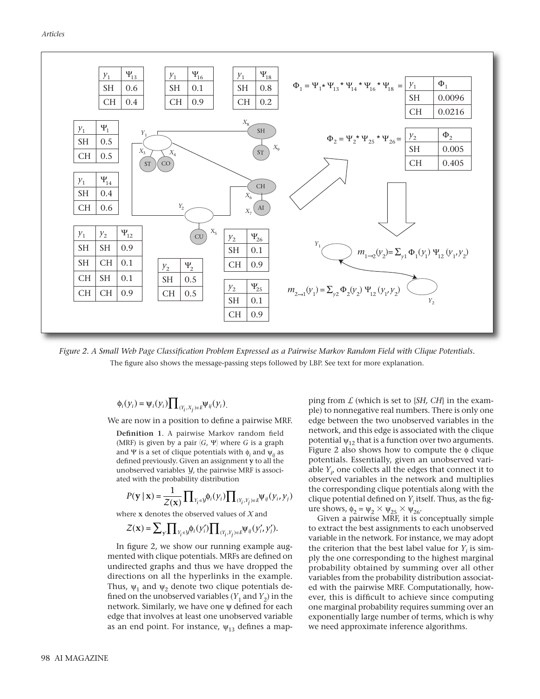

*Figure 2. A Small Web Page Classification Problem Expressed as a Pairwise Markov Random Field with Clique Potentials.*  The figure also shows the message-passing steps followed by LBP. See text for more explanation.

$$
\phi_i(\gamma_i) = \psi_i(\gamma_i) \prod_{(Y_i, X_j) \in E} \psi_{ij}(\gamma_i).
$$

We are now in a position to define a pairwise MRF.

**Definition 1**. A pairwise Markov random field (MRF) is given by a pair  $\langle G, \Psi \rangle$  where  $G$  is a graph and Ψ is a set of clique potentials with φ*<sup>i</sup>* and ψ*ij* as defined previously. Given an assignment **y** to all the unobserved variables *Y*, the pairwise MRF is associated with the probability distribution

$$
P(\mathbf{y} \mid \mathbf{x}) = \frac{1}{Z(\mathbf{x})} \prod_{Y_i \in \mathcal{Y}} \phi_i(y_i) \prod_{(Y_i, Y_j) \in E} \psi_{ij}(y_i, y_j)
$$

where **x** denotes the observed values of *X* and

$$
\mathcal{Z}(\mathbf{x}) = \sum\nolimits_{\mathbf{y}} \prod\nolimits_{Y_i \in \mathbf{y}} \phi_i(\mathbf{y}_i') \prod\nolimits_{(Y_i, Y_j) \in E} \psi_{ij}(\mathbf{y}_i', \mathbf{y}_j').
$$

In figure 2, we show our running example augmented with clique potentials. MRFs are defined on undirected graphs and thus we have dropped the directions on all the hyperlinks in the example. Thus,  $\psi_1$  and  $\psi_2$  denote two clique potentials defined on the unobserved variables  $(Y_1$  and  $Y_2)$  in the network. Similarly, we have one ψ defined for each edge that involves at least one unobserved variable as an end point. For instance,  $\psi_{13}$  defines a map-

ping from  $\mathcal L$  (which is set to  $\{SH, CH\}$  in the example) to nonnegative real numbers. There is only one edge between the two unobserved variables in the network, and this edge is associated with the clique potential  $\psi_{12}$  that is a function over two arguments. Figure 2 also shows how to compute the  $\phi$  clique potentials. Essentially, given an unobserved variable  $Y_{i'}$  one collects all the edges that connect it to observed variables in the network and multiplies the corresponding clique potentials along with the clique potential defined on *Yi* itself. Thus, as the figure shows,  $\phi_2 = \psi_2 \times \psi_{25} \times \psi_{26}$ .

Given a pairwise MRF, it is conceptually simple to extract the best assignments to each unobserved variable in the network. For instance, we may adopt the criterion that the best label value for  $Y_i$  is simply the one corresponding to the highest marginal probability obtained by summing over all other variables from the probability distribution associated with the pairwise MRF. Computationally, however, this is difficult to achieve since computing one marginal probability requires summing over an exponentially large number of terms, which is why we need approximate inference algorithms.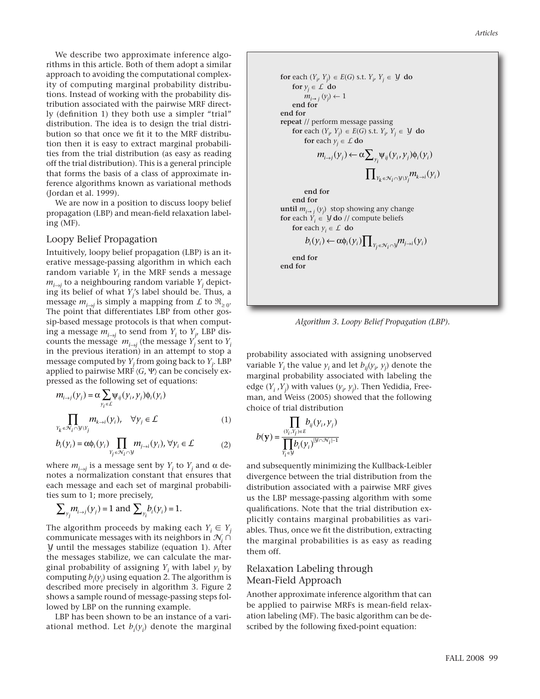We describe two approximate inference algorithms in this article. Both of them adopt a similar approach to avoiding the computational complexity of computing marginal probability distributions. Instead of working with the probability distribution associated with the pairwise MRF directly (definition 1) they both use a simpler "trial" distribution. The idea is to design the trial distribution so that once we fit it to the MRF distribution then it is easy to extract marginal probabilities from the trial distribution (as easy as reading off the trial distribution). This is a general principle that forms the basis of a class of approximate inference algorithms known as variational methods (Jordan et al. 1999).

We are now in a position to discuss loopy belief propagation (LBP) and mean-field relaxation labeling (MF).

#### Loopy Belief Propagation

Intuitively, loopy belief propagation (LBP) is an iterative message-passing algorithm in which each random variable *Yi* in the MRF sends a message  $m_{i\rightarrow i}$  to a neighbouring random variable  $Y_i$  depicting its belief of what *Yj* 's label should be. Thus, a message  $m_{i\rightarrow j}$  is simply a mapping from  $\mathcal L$  to  $\Re_{\geq 0}$ . The point that differentiates LBP from other gossip-based message protocols is that when computing a message  $m_{i\rightarrow j}$  to send from  $Y_i$  to  $Y_{j'}$  LBP discounts the message  $m_{i\rightarrow j}$  (the message  $Y'_j$  sent to  $Y_i$ in the previous iteration) in an attempt to stop a message computed by *Yj* from going back to *Yj* . LBP applied to pairwise MRF  $\langle G, \Psi \rangle$  can be concisely expressed as the following set of equations:

$$
m_{i \to j}(y_j) = \alpha \sum_{y_i \in \mathcal{L}} \psi_{ij}(y_i, y_j) \phi_i(y_i)
$$
  

$$
\prod_{Y_k \in \mathcal{N}_i \cap \mathcal{Y} \setminus Y_j} m_{k \to i}(y_i), \quad \forall y_j \in \mathcal{L}
$$
 (1)

$$
b_i(y_i) = \alpha \phi_i(y_i) \prod_{Y_j \in \mathcal{N}_i \cap \mathcal{Y}} m_{j \to i}(y_i), \forall y_i \in \mathcal{L}
$$
 (2)

where  $m_{i\rightarrow j}$  is a message sent by  $Y_i$  to  $Y_j$  and  $\alpha$  denotes a normalization constant that ensures that each message and each set of marginal probabilities sum to 1; more precisely,

$$
\sum\nolimits_{\gamma_j} m_{i\to j}(\gamma_j) = 1 \text{ and } \sum\nolimits_{\gamma_i} b_i(\gamma_i) = 1.
$$

The algorithm proceeds by making each  $Y_i \in Y_i$ communicate messages with its neighbors in  $\mathcal{N}_i$   $\cap$ *Y* until the messages stabilize (equation 1). After the messages stabilize, we can calculate the marginal probability of assigning  $Y_i$  with label  $y_i$  by computing  $b_i(y_i)$  using equation 2. The algorithm is described more precisely in algorithm 3. Figure 2 shows a sample round of message-passing steps followed by LBP on the running example.

LBP has been shown to be an instance of a variational method. Let  $b_i(\gamma_i)$  denote the marginal

**for** each  $(Y_i, Y_j) \in E(G)$  s.t.  $Y_i, Y_j \in \mathcal{Y}$  do for  $y_j \in L$  do  $m_{i\rightarrow j} (y_i) \leftarrow 1$ **end for end for repeat** // perform message passing **for** each  $(Y_i, Y_j) \in E(G)$  s.t.  $Y_i, Y_j \in \mathcal{Y}$  do  $f$  *o* $r$  each  $y_j \in L$  **do end for end for until**  $m_{i\rightarrow j}$   $(y_j)$  stop showing any change for each  $Y_i \in Y$  do // compute beliefs **for** each  $y_i \in \mathcal{L}$  **do end for end for**  $b_i(y_i) \leftarrow \alpha \phi_i(y_i) \prod_{Y_i \in \mathcal{N}_i \cap \mathcal{Y}} m_{j \to i}(y_i)$  $\prod_{Y_k \in \mathcal{N}_i \cap \mathcal{Y} \setminus Y_i} m_{k \to i} (y_i)$  $m_{i\rightarrow j}(y_i) \leftarrow \alpha \sum_{y_i} \psi_{ij}(y_i, y_j) \phi_i(y_i)$ 



probability associated with assigning unobserved variable  $Y_i$  the value  $y_i$  and let  $b_{ij}(y_i, y_j)$  denote the marginal probability associated with labeling the edge  $(Y_i, Y_j)$  with values  $(y_i, y_j)$ . Then Yedidia, Freeman, and Weiss (2005) showed that the following choice of trial distribution

$$
b(\mathbf{y}) = \frac{\displaystyle\prod_{(Y_i,Y_j)\in E} b_{ij}(y_i,y_j)}{\displaystyle\prod_{Y_i\in \mathcal{Y}} b_i(y_i)^{|\mathcal{Y}\cap \mathcal{N}_i|-1}}
$$

and subsequently minimizing the Kullback-Leibler divergence between the trial distribution from the distribution associated with a pairwise MRF gives us the LBP message-passing algorithm with some qualifications. Note that the trial distribution explicitly contains marginal probabilities as variables. Thus, once we fit the distribution, extracting the marginal probabilities is as easy as reading them off.

## Relaxation Labeling through Mean-Field Approach

Another approximate inference algorithm that can be applied to pairwise MRFs is mean-field relaxation labeling (MF). The basic algorithm can be described by the following fixed-point equation: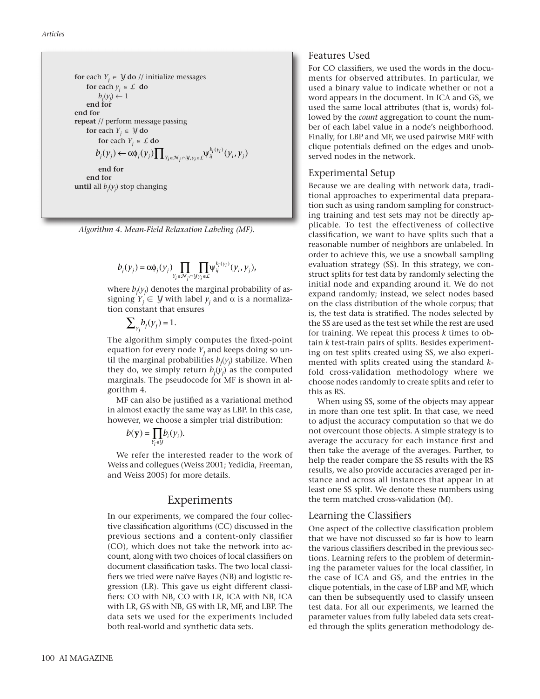for each  $Y_j \in \mathcal{Y}$  do // initialize messages **for** each  $y_j \in L$  **do**  $b_j(y_j) \leftarrow 1$ **end for end for repeat** // perform message passing  $\mathbf{for}$  each  $Y_j \in \mathcal{Y}$  do **for** each  $Y_j \in \mathcal{L}$  **do end for**  $b_j(y_j) \leftarrow \alpha \phi_j(y_j) \prod_{Y_i \in \mathcal{N}_j \cap \mathcal{Y}, y_i \in \mathcal{L}} \psi_{ij}^{b_i(y_i)}(y_i, y_j)$ 

**end for until** all *bj* (*yj* ) stop changing

*Algorithm 4. Mean-Field Relaxation Labeling (MF).* 

$$
b_j(y_j) = \alpha \phi_j(y_j) \prod_{Y_i \in \mathcal{N}_j \cap \mathcal{Y}} \prod_{y_i \in \mathcal{L}} \psi_{ij}^{b_j(y_i)}(y_i, y_j),
$$

where  $b_j(y_j)$  denotes the marginal probability of assigning  $Y_i \in \mathcal{Y}$  with label  $y_i$  and  $\alpha$  is a normalization constant that ensures

$$
\sum_{\gamma_j} b_j(\gamma_j) = 1.
$$

The algorithm simply computes the fixed-point equation for every node  $Y_i$  and keeps doing so until the marginal probabilities *bj* (*yj* ) stabilize. When they do, we simply return  $b_j(y_j)$  as the computed marginals. The pseudocode for MF is shown in algorithm 4.

MF can also be justified as a variational method in almost exactly the same way as LBP. In this case, however, we choose a simpler trial distribution:

$$
b(\mathbf{y}) = \prod_{Y_i \in \mathcal{Y}} b_i(y_i).
$$

We refer the interested reader to the work of Weiss and collegues (Weiss 2001; Yedidia, Freeman, and Weiss 2005) for more details.

#### Experiments

In our experiments, we compared the four collective classification algorithms (CC) discussed in the previous sections and a content-only classifier (CO), which does not take the network into account, along with two choices of local classifiers on document classification tasks. The two local classifiers we tried were naïve Bayes (NB) and logistic regression (LR). This gave us eight different classifiers: CO with NB, CO with LR, ICA with NB, ICA with LR, GS with NB, GS with LR, MF, and LBP. The data sets we used for the experiments included both real-world and synthetic data sets.

## Features Used

For CO classifiers, we used the words in the documents for observed attributes. In particular, we used a binary value to indicate whether or not a word appears in the document. In ICA and GS, we used the same local attributes (that is, words) followed by the *count* aggregation to count the number of each label value in a node's neighborhood. Finally, for LBP and MF, we used pairwise MRF with clique potentials defined on the edges and unobserved nodes in the network.

#### Experimental Setup

Because we are dealing with network data, traditional approaches to experimental data preparation such as using random sampling for constructing training and test sets may not be directly applicable. To test the effectiveness of collective classification, we want to have splits such that a reasonable number of neighbors are unlabeled. In order to achieve this, we use a snowball sampling evaluation strategy (SS). In this strategy, we construct splits for test data by randomly selecting the initial node and expanding around it. We do not expand randomly; instead, we select nodes based on the class distribution of the whole corpus; that is, the test data is stratified. The nodes selected by the SS are used as the test set while the rest are used for training. We repeat this process *k* times to obtain *k* test-train pairs of splits. Besides experimenting on test splits created using SS, we also experimented with splits created using the standard *k*fold cross-validation methodology where we choose nodes randomly to create splits and refer to this as RS.

When using SS, some of the objects may appear in more than one test split. In that case, we need to adjust the accuracy computation so that we do not overcount those objects. A simple strategy is to average the accuracy for each instance first and then take the average of the averages. Further, to help the reader compare the SS results with the RS results, we also provide accuracies averaged per instance and across all instances that appear in at least one SS split. We denote these numbers using the term matched cross-validation (M).

#### Learning the Classifiers

One aspect of the collective classification problem that we have not discussed so far is how to learn the various classifiers described in the previous sections. Learning refers to the problem of determining the parameter values for the local classifier, in the case of ICA and GS, and the entries in the clique potentials, in the case of LBP and MF, which can then be subsequently used to classify unseen test data. For all our experiments, we learned the parameter values from fully labeled data sets created through the splits generation methodology de-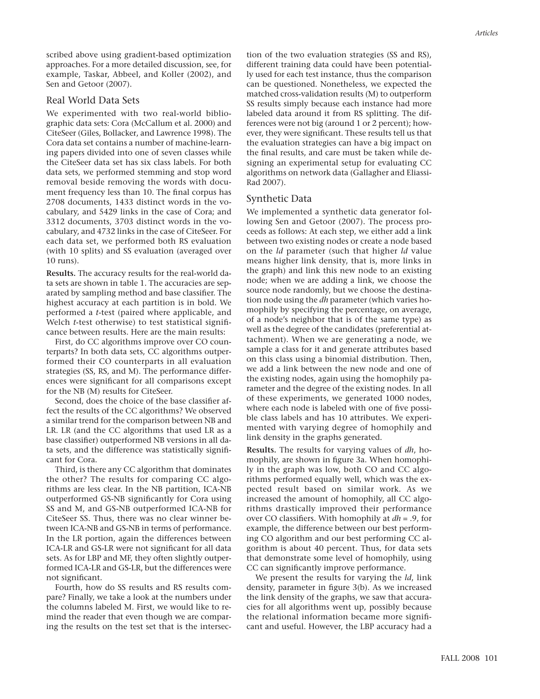scribed above using gradient-based optimization approaches. For a more detailed discussion, see, for example, Taskar, Abbeel, and Koller (2002), and Sen and Getoor (2007).

#### Real World Data Sets

We experimented with two real-world bibliographic data sets: Cora (McCallum et al. 2000) and CiteSeer (Giles, Bollacker, and Lawrence 1998). The Cora data set contains a number of machine-learning papers divided into one of seven classes while the CiteSeer data set has six class labels. For both data sets, we performed stemming and stop word removal beside removing the words with document frequency less than 10. The final corpus has 2708 documents, 1433 distinct words in the vocabulary, and 5429 links in the case of Cora; and 3312 documents, 3703 distinct words in the vocabulary, and 4732 links in the case of CiteSeer. For each data set, we performed both RS evaluation (with 10 splits) and SS evaluation (averaged over 10 runs).

**Results.** The accuracy results for the real-world data sets are shown in table 1. The accuracies are separated by sampling method and base classifier. The highest accuracy at each partition is in bold. We performed a *t*-test (paired where applicable, and Welch *t*-test otherwise) to test statistical significance between results. Here are the main results:

First, do CC algorithms improve over CO counterparts? In both data sets, CC algorithms outperformed their CO counterparts in all evaluation strategies (SS, RS, and M). The performance differences were significant for all comparisons except for the NB (M) results for CiteSeer.

Second, does the choice of the base classifier affect the results of the CC algorithms? We observed a similar trend for the comparison between NB and LR. LR (and the CC algorithms that used LR as a base classifier) outperformed NB versions in all data sets, and the difference was statistically significant for Cora.

Third, is there any CC algorithm that dominates the other? The results for comparing CC algorithms are less clear. In the NB partition, ICA-NB outperformed GS-NB significantly for Cora using SS and M, and GS-NB outperformed ICA-NB for CiteSeer SS. Thus, there was no clear winner between ICA-NB and GS-NB in terms of performance. In the LR portion, again the differences between ICA-LR and GS-LR were not significant for all data sets. As for LBP and MF, they often slightly outperformed ICA-LR and GS-LR, but the differences were not significant.

Fourth, how do SS results and RS results compare? Finally, we take a look at the numbers under the columns labeled M. First, we would like to remind the reader that even though we are comparing the results on the test set that is the intersection of the two evaluation strategies (SS and RS), different training data could have been potentially used for each test instance, thus the comparison can be questioned. Nonetheless, we expected the matched cross-validation results (M) to outperform SS results simply because each instance had more labeled data around it from RS splitting. The differences were not big (around 1 or 2 percent); however, they were significant. These results tell us that the evaluation strategies can have a big impact on the final results, and care must be taken while designing an experimental setup for evaluating CC algorithms on network data (Gallagher and Eliassi-Rad 2007).

#### Synthetic Data

We implemented a synthetic data generator following Sen and Getoor (2007). The process proceeds as follows: At each step, we either add a link between two existing nodes or create a node based on the *ld* parameter (such that higher *ld* value means higher link density, that is, more links in the graph) and link this new node to an existing node; when we are adding a link, we choose the source node randomly, but we choose the destination node using the *dh* parameter (which varies homophily by specifying the percentage, on average, of a node's neighbor that is of the same type) as well as the degree of the candidates (preferential attachment). When we are generating a node, we sample a class for it and generate attributes based on this class using a binomial distribution. Then, we add a link between the new node and one of the existing nodes, again using the homophily parameter and the degree of the existing nodes. In all of these experiments, we generated 1000 nodes, where each node is labeled with one of five possible class labels and has 10 attributes. We experimented with varying degree of homophily and link density in the graphs generated.

**Results.** The results for varying values of *dh*, homophily, are shown in figure 3a. When homophily in the graph was low, both CO and CC algorithms performed equally well, which was the expected result based on similar work. As we increased the amount of homophily, all CC algorithms drastically improved their performance over CO classifiers. With homophily at *dh* = .9, for example, the difference between our best performing CO algorithm and our best performing CC algorithm is about 40 percent. Thus, for data sets that demonstrate some level of homophily, using CC can significantly improve performance.

We present the results for varying the *ld*, link density, parameter in figure 3(b). As we increased the link density of the graphs, we saw that accuracies for all algorithms went up, possibly because the relational information became more significant and useful. However, the LBP accuracy had a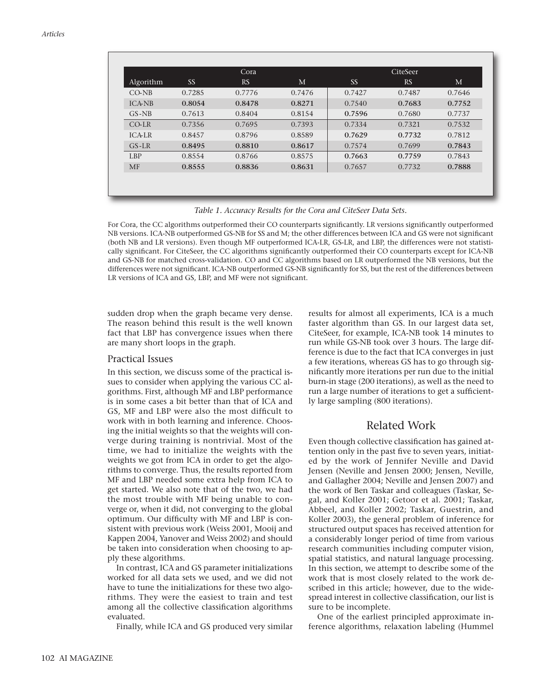| M<br>0.7646<br>0.7752 |
|-----------------------|
|                       |
|                       |
|                       |
| 0.7737                |
| 0.7532                |
| 0.7812                |
| 0.7843                |
| 0.7843                |
| 0.7888                |
|                       |

*Table 1. Accuracy Results for the Cora and CiteSeer Data Sets.* 

For Cora, the CC algorithms outperformed their CO counterparts significantly. LR versions significantly outperformed NB versions. ICA-NB outperformed GS-NB for SS and M; the other differences between ICA and GS were not significant (both NB and LR versions). Even though MF outperformed ICA-LR, GS-LR, and LBP, the differences were not statistically significant. For CiteSeer, the CC algorithms significantly outperformed their CO counterparts except for ICA-NB and GS-NB for matched cross-validation. CO and CC algorithms based on LR outperformed the NB versions, but the differences were not significant. ICA-NB outperformed GS-NB significantly for SS, but the rest of the differences between LR versions of ICA and GS, LBP, and MF were not significant.

sudden drop when the graph became very dense. The reason behind this result is the well known fact that LBP has convergence issues when there are many short loops in the graph.

#### Practical Issues

In this section, we discuss some of the practical issues to consider when applying the various CC algorithms. First, although MF and LBP performance is in some cases a bit better than that of ICA and GS, MF and LBP were also the most difficult to work with in both learning and inference. Choosing the initial weights so that the weights will converge during training is nontrivial. Most of the time, we had to initialize the weights with the weights we got from ICA in order to get the algorithms to converge. Thus, the results reported from MF and LBP needed some extra help from ICA to get started. We also note that of the two, we had the most trouble with MF being unable to converge or, when it did, not converging to the global optimum. Our difficulty with MF and LBP is consistent with previous work (Weiss 2001, Mooij and Kappen 2004, Yanover and Weiss 2002) and should be taken into consideration when choosing to apply these algorithms.

In contrast, ICA and GS parameter initializations worked for all data sets we used, and we did not have to tune the initializations for these two algorithms. They were the easiest to train and test among all the collective classification algorithms evaluated.

Finally, while ICA and GS produced very similar

results for almost all experiments, ICA is a much faster algorithm than GS. In our largest data set, CiteSeer, for example, ICA-NB took 14 minutes to run while GS-NB took over 3 hours. The large difference is due to the fact that ICA converges in just a few iterations, whereas GS has to go through significantly more iterations per run due to the initial burn-in stage (200 iterations), as well as the need to run a large number of iterations to get a sufficiently large sampling (800 iterations).

#### Related Work

Even though collective classification has gained attention only in the past five to seven years, initiated by the work of Jennifer Neville and David Jensen (Neville and Jensen 2000; Jensen, Neville, and Gallagher 2004; Neville and Jensen 2007) and the work of Ben Taskar and colleagues (Taskar, Segal, and Koller 2001; Getoor et al. 2001; Taskar, Abbeel, and Koller 2002; Taskar, Guestrin, and Koller 2003), the general problem of inference for structured output spaces has received attention for a considerably longer period of time from various research communities including computer vision, spatial statistics, and natural language processing. In this section, we attempt to describe some of the work that is most closely related to the work described in this article; however, due to the widespread interest in collective classification, our list is sure to be incomplete.

One of the earliest principled approximate inference algorithms, relaxation labeling (Hummel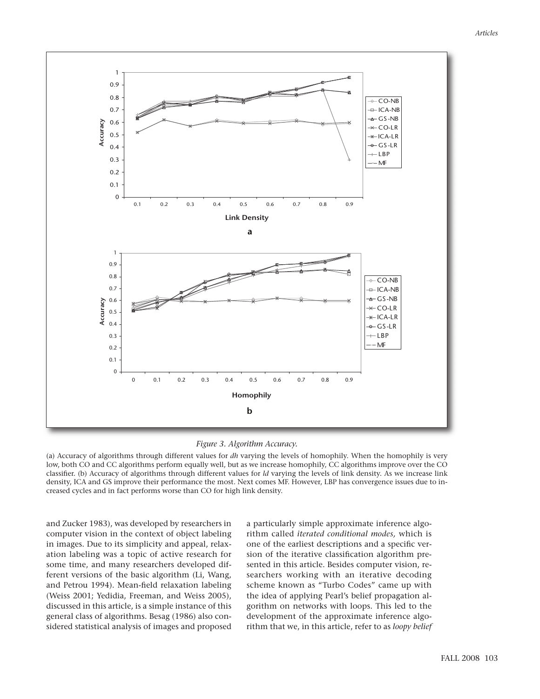

#### *Figure 3. Algorithm Accuracy.*

(a) Accuracy of algorithms through different values for *dh* varying the levels of homophily. When the homophily is very low, both CO and CC algorithms perform equally well, but as we increase homophily, CC algorithms improve over the CO classifier. (b) Accuracy of algorithms through different values for *ld* varying the levels of link density. As we increase link density, ICA and GS improve their performance the most. Next comes MF. However, LBP has convergence issues due to increased cycles and in fact performs worse than CO for high link density.

and Zucker 1983), was developed by researchers in computer vision in the context of object labeling in images. Due to its simplicity and appeal, relaxation labeling was a topic of active research for some time, and many researchers developed different versions of the basic algorithm (Li, Wang, and Petrou 1994). Mean-field relaxation labeling (Weiss 2001; Yedidia, Freeman, and Weiss 2005), discussed in this article, is a simple instance of this general class of algorithms. Besag (1986) also considered statistical analysis of images and proposed

a particularly simple approximate inference algorithm called *iterated conditional modes,* which is one of the earliest descriptions and a specific version of the iterative classification algorithm presented in this article. Besides computer vision, researchers working with an iterative decoding scheme known as "Turbo Codes" came up with the idea of applying Pearl's belief propagation algorithm on networks with loops. This led to the development of the approximate inference algorithm that we, in this article, refer to as *loopy belief*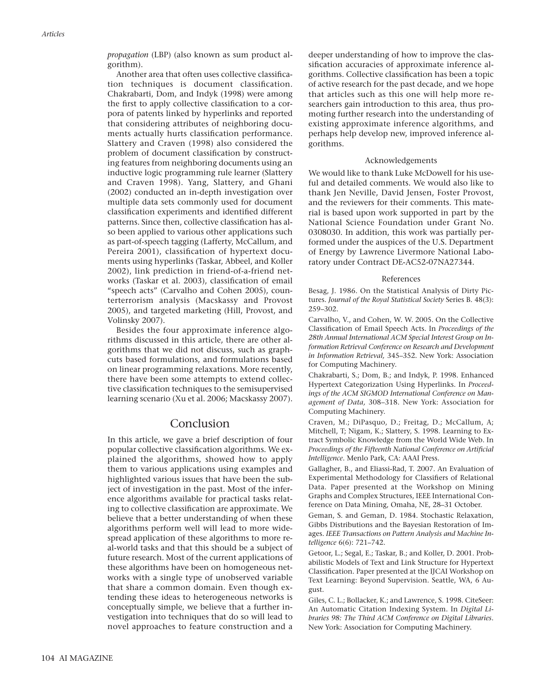*propagation* (LBP) (also known as sum product algorithm).

Another area that often uses collective classification techniques is document classification. Chakrabarti, Dom, and Indyk (1998) were among the first to apply collective classification to a corpora of patents linked by hyperlinks and reported that considering attributes of neighboring documents actually hurts classification performance. Slattery and Craven (1998) also considered the problem of document classification by constructing features from neighboring documents using an inductive logic programming rule learner (Slattery and Craven 1998). Yang, Slattery, and Ghani (2002) conducted an in-depth investigation over multiple data sets commonly used for document classification experiments and identified different patterns. Since then, collective classification has also been applied to various other applications such as part-of-speech tagging (Lafferty, McCallum, and Pereira 2001), classification of hypertext documents using hyperlinks (Taskar, Abbeel, and Koller 2002), link prediction in friend-of-a-friend networks (Taskar et al. 2003), classification of email "speech acts" (Carvalho and Cohen 2005), counterterrorism analysis (Macskassy and Provost 2005), and targeted marketing (Hill, Provost, and Volinsky 2007).

Besides the four approximate inference algorithms discussed in this article, there are other algorithms that we did not discuss, such as graphcuts based formulations, and formulations based on linear programming relaxations. More recently, there have been some attempts to extend collective classification techniques to the semisupervised learning scenario (Xu et al. 2006; Macskassy 2007).

## Conclusion

In this article, we gave a brief description of four popular collective classification algorithms. We explained the algorithms, showed how to apply them to various applications using examples and highlighted various issues that have been the subject of investigation in the past. Most of the inference algorithms available for practical tasks relating to collective classification are approximate. We believe that a better understanding of when these algorithms perform well will lead to more widespread application of these algorithms to more real-world tasks and that this should be a subject of future research. Most of the current applications of these algorithms have been on homogeneous networks with a single type of unobserved variable that share a common domain. Even though extending these ideas to heterogeneous networks is conceptually simple, we believe that a further investigation into techniques that do so will lead to novel approaches to feature construction and a deeper understanding of how to improve the classification accuracies of approximate inference algorithms. Collective classification has been a topic of active research for the past decade, and we hope that articles such as this one will help more researchers gain introduction to this area, thus promoting further research into the understanding of existing approximate inference algorithms, and perhaps help develop new, improved inference algorithms.

#### Acknowledgements

We would like to thank Luke McDowell for his useful and detailed comments. We would also like to thank Jen Neville, David Jensen, Foster Provost, and the reviewers for their comments. This material is based upon work supported in part by the National Science Foundation under Grant No. 0308030. In addition, this work was partially performed under the auspices of the U.S. Department of Energy by Lawrence Livermore National Laboratory under Contract DE-AC52-07NA27344.

#### References

Besag, J. 1986. On the Statistical Analysis of Dirty Pictures. *Journal of the Royal Statistical Society* Series B. 48(3): 259–302.

Carvalho, V., and Cohen, W. W. 2005. On the Collective Classification of Email Speech Acts. In *Proceedings of the 28th Annual International ACM Special Interest Group on Information Retrieval Conference on Research and Development in Information Retrieval,* 345–352. New York: Association for Computing Machinery.

Chakrabarti, S.; Dom, B.; and Indyk, P. 1998. Enhanced Hypertext Categorization Using Hyperlinks. In *Proceedings of the ACM SIGMOD International Conference on Management of Data,* 308–318. New York: Association for Computing Machinery.

Craven, M.; DiPasquo, D.; Freitag, D.; McCallum, A; Mitchell, T; Nigam, K.; Slattery, S. 1998. Learning to Extract Symbolic Knowledge from the World Wide Web. In *Proceedings of the Fifteenth National Conference on Artificial Intelligence*. Menlo Park, CA: AAAI Press.

Gallagher, B., and Eliassi-Rad, T. 2007. An Evaluation of Experimental Methodology for Classifiers of Relational Data. Paper presented at the Workshop on Mining Graphs and Complex Structures, IEEE International Conference on Data Mining, Omaha, NE, 28–31 October.

Geman, S. and Geman, D. 1984. Stochastic Relaxation, Gibbs Distributions and the Bayesian Restoration of Images. *IEEE Transactions on Pattern Analysis and Machine Intelligence* 6(6): 721–742.

Getoor, L.; Segal, E.; Taskar, B.; and Koller, D. 2001. Probabilistic Models of Text and Link Structure for Hypertext Classification. Paper presented at the IJCAI Workshop on Text Learning: Beyond Supervision. Seattle, WA, 6 August.

Giles, C. L.; Bollacker, K.; and Lawrence, S. 1998. CiteSeer: An Automatic Citation Indexing System. In *Digital Libraries 98: The Third ACM Conference on Digital Libraries*. New York: Association for Computing Machinery.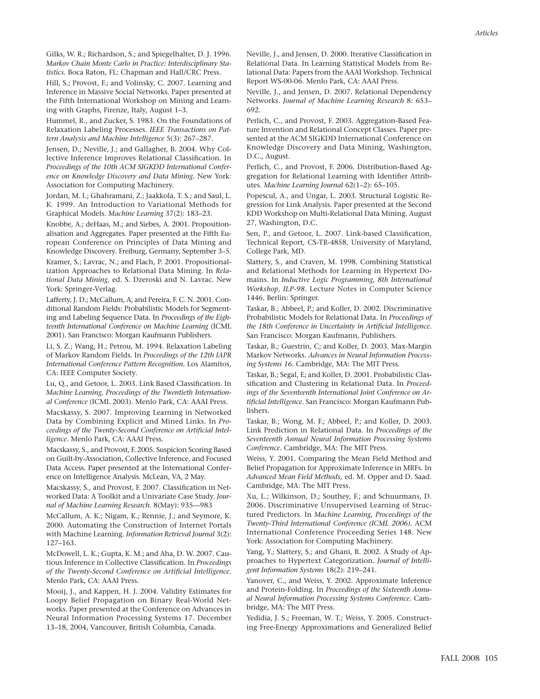Gilks, W. R.; Richardson, S.; and Spiegelhalter, D. J. 1996. *Markov Chain Monte Carlo in Practice: Interdisciplinary Statistics.* Boca Raton, FL: Chapman and Hall/CRC Press.

Hill, S.; Provost, F.; and Volinsky, C. 2007. Learning and Inference in Massive Social Networks. Paper presented at the Fifth International Workshop on Mining and Learning with Graphs, Firenze, Italy, August 1–3.

Hummel, R., and Zucker, S. 1983. On the Foundations of Relaxation Labeling Processes. *IEEE Transactions on Pattern Analysis and Machine Intelligence* 5(3): 267–287.

Jensen, D.; Neville, J.; and Gallagher, B. 2004. Why Collective Inference Improves Relational Classification. In *Proceedings of the 10th ACM SIGKDD International Conference on Knowledge Discovery and Data Mining.* New York: Association for Computing Machinery.

Jordan, M. I.; Ghahramani, Z.; Jaakkola, T. S.; and Saul, L. K. 1999. An Introduction to Variational Methods for Graphical Models. *Machine Learning* 37(2): 183–23.

Knobbe, A.; deHaas, M.; and Siebes, A. 2001. Propositionalisation and Aggregates. Paper presented at the Fifth European Conference on Principles of Data Mining and Knowledge Discovery. Freiburg, Germany, September 3–5. Kramer, S.; Lavrac, N.; and Flach, P. 2001. Propositionalization Approaches to Relational Data Mining. In *Relational Data Mining,* ed. S. Dzeroski and N. Lavrac. New York: Springer-Verlag.

Lafferty, J. D.; McCallum, A; and Pereira, F. C. N. 2001. Conditional Random Fields: Probabilistic Models for Segmenting and Labeling Sequence Data. In *Proceedings of the Eighteenth International Conference on Machine Learning* (ICML 2001). San Francisco: Morgan Kaufmann Publishers.

Li, S. Z.; Wang, H.; Petrou, M. 1994. Relaxation Labeling of Markov Random Fields. In *Proceedings of the 12th IAPR International Conference Pattern Recognition.* Los Alamitos, CA: IEEE Computer Society.

Lu, Q., and Getoor, L. 2003. Link Based Classification. In *Machine Learning, Proceedings of the Twentieth International Conference* (ICML 2003). Menlo Park, CA: AAAI Press.

Macskassy, S. 2007. Improving Learning in Networked Data by Combining Explicit and Mined Links. In *Proceedings of the Twenty-Second Conference on Artificial Intelligence*. Menlo Park, CA: AAAI Press.

Macskassy, S., and Provost, F. 2005. Suspicion Scoring Based on Guilt-by-Association, Collective Inference, and Focused Data Access. Paper presented at the International Conference on Intelligence Analysis. McLean, VA, 2 May.

Macskassy, S., and Provost, F. 2007. Classification in Networked Data: A Toolkit and a Univariate Case Study. *Journal of Machine Learning Research.* 8(May): 935—983

McCallum, A. K.; Nigam, K.; Rennie, J.; and Seymore, K. 2000. Automating the Construction of Internet Portals with Machine Learning. *Information Retrieval Journal* 3(2): 127–163.

McDowell, L. K.; Gupta, K. M.; and Aha, D. W. 2007. Cautious Inference in Collective Classification. In *Proceedings of the Twenty-Second Conference on Artificial Intelligence*. Menlo Park, CA: AAAI Press.

Mooij, J., and Kappen, H. J. 2004. Validity Estimates for Loopy Belief Propagation on Binary Real-World Networks. Paper presented at the Conference on Advances in Neural Information Processing Systems 17. December 13–18, 2004, Vancouver, British Columbia, Canada.

Neville, J., and Jensen, D. 2000. Iterative Classification in Relational Data. In Learning Statistical Models from Relational Data: Papers from the AAAI Workshop. Technical Report WS-00-06. Menlo Park, CA: AAAI Press.

Neville, J., and Jensen, D. 2007. Relational Dependency Networks. *Journal of Machine Learning Research* 8: 653– 692.

Perlich, C., and Provost, F. 2003. Aggregation-Based Feature Invention and Relational Concept Classes. Paper presented at the ACM SIGKDD International Conference on Knowledge Discovery and Data Mining, Washington, D.C., August.

Perlich, C., and Provost, F. 2006. Distribution-Based Aggregation for Relational Learning with Identifier Attributes. *Machine Learning Journal* 62(1–2): 65–105.

Popescul, A., and Ungar, L. 2003. Structural Logistic Regression for Link Analysis. Paper presented at the Second KDD Workshop on Multi-Relational Data Mining. August 27, Washington, D.C.

Sen, P., and Getoor, L. 2007. Link-based Classification, Technical Report, CS-TR-4858, University of Maryland, College Park, MD.

Slattery, S., and Craven, M. 1998. Combining Statistical and Relational Methods for Learning in Hypertext Domains. In *Inductive Logic Programming, 8th International Workshop, ILP-98.* Lecture Notes in Computer Science 1446. Berlin: Springer.

Taskar, B.; Abbeel, P.; and Koller, D. 2002. Discriminative Probabilistic Models for Relational Data. In *Proceedings of the 18th Conference in Uncertainty in Artificial Intelligence*. San Francisco: Morgan Kaufmann, Publishers.

Taskar, B.; Guestrin, C; and Koller, D. 2003. Max-Margin Markov Networks. *Advances in Neural Information Processing Systems 16.* Cambridge, MA: The MIT Press.

Taskar, B.; Segal, E; and Koller, D. 2001. Probabilistic Classification and Clustering in Relational Data. In *Proceedings of the Seventeenth International Joint Conference on Artificial Intelligence*. San Francisco: Morgan Kaufmann Publishers.

Taskar, B.; Wong, M. F.; Abbeel, P.; and Koller, D. 2003. Link Prediction in Relational Data. In *Proceedings of the Seventeenth Annual Neural Information Processing Systems Conference.* Cambridge, MA: The MIT Press.

Weiss, Y. 2001. Comparing the Mean Field Method and Belief Propagation for Approximate Inference in MRFs. In *Advanced Mean Field Methods,* ed. M. Opper and D. Saad. Cambridge, MA: The MIT Press.

Xu, L.; Wilkinson, D.; Southey, F.; and Schuurmans, D. 2006. Discriminative Unsupervised Learning of Structured Predictors. In *Machine Learning, Proceedings of the Twenty-Third International Conference (ICML 2006).* ACM International Conference Proceeding Series 148. New York: Association for Computing Machinery.

Yang, Y.; Slattery, S.; and Ghani, R. 2002. A Study of Approaches to Hypertext Categorization. *Journal of Intelligent Information Systems* 18(2): 219–241.

Yanover, C., and Weiss, Y. 2002. Approximate Inference and Protein-Folding. In *Proceedings of the Sixteenth Annual Neural Information Processing Systems Conference.* Cambridge, MA: The MIT Press.

Yedidia, J. S.; Freeman, W. T.; Weiss, Y. 2005. Constructing Free-Energy Approximations and Generalized Belief